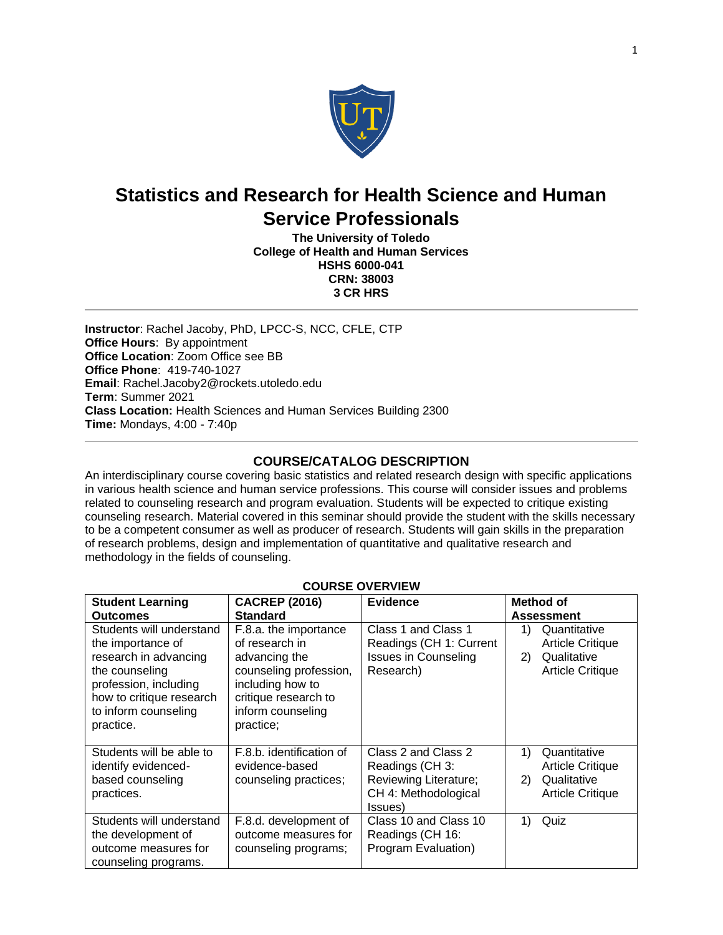

# **Statistics and Research for Health Science and Human Service Professionals**

**The University of Toledo College of Health and Human Services HSHS 6000-041 CRN: 38003 3 CR HRS**

**Instructor**: Rachel Jacoby, PhD, LPCC-S, NCC, CFLE, CTP **Office Hours**: By appointment **Office Location**: Zoom Office see BB **Office Phone**: 419-740-1027 **Email**: Rachel.Jacoby2@rockets.utoledo.edu **Term**: Summer 2021 **Class Location:** Health Sciences and Human Services Building 2300 **Time:** Mondays, 4:00 - 7:40p

# **COURSE/CATALOG DESCRIPTION**

An interdisciplinary course covering basic statistics and related research design with specific applications in various health science and human service professions. This course will consider issues and problems related to counseling research and program evaluation. Students will be expected to critique existing counseling research. Material covered in this seminar should provide the student with the skills necessary to be a competent consumer as well as producer of research. Students will gain skills in the preparation of research problems, design and implementation of quantitative and qualitative research and methodology in the fields of counseling.

| <b>Student Learning</b><br><b>Outcomes</b>                                                                                                                                         | <b>CACREP (2016)</b><br><b>Standard</b>                                                                                                                          | <b>Evidence</b>                                                                                   | Method of<br><b>Assessment</b>                                                                |
|------------------------------------------------------------------------------------------------------------------------------------------------------------------------------------|------------------------------------------------------------------------------------------------------------------------------------------------------------------|---------------------------------------------------------------------------------------------------|-----------------------------------------------------------------------------------------------|
| Students will understand<br>the importance of<br>research in advancing<br>the counseling<br>profession, including<br>how to critique research<br>to inform counseling<br>practice. | F.8.a. the importance<br>of research in<br>advancing the<br>counseling profession,<br>including how to<br>critique research to<br>inform counseling<br>practice; | Class 1 and Class 1<br>Readings (CH 1: Current<br><b>Issues in Counseling</b><br>Research)        | Quantitative<br>1)<br><b>Article Critique</b><br>Qualitative<br>2)<br><b>Article Critique</b> |
| Students will be able to<br>identify evidenced-<br>based counseling<br>practices.                                                                                                  | F.8.b. identification of<br>evidence-based<br>counseling practices;                                                                                              | Class 2 and Class 2<br>Readings (CH 3:<br>Reviewing Literature;<br>CH 4: Methodological<br>(ssues | 1)<br>Quantitative<br><b>Article Critique</b><br>Qualitative<br>2)<br><b>Article Critique</b> |
| Students will understand<br>the development of<br>outcome measures for<br>counseling programs.                                                                                     | F.8.d. development of<br>outcome measures for<br>counseling programs;                                                                                            | Class 10 and Class 10<br>Readings (CH 16:<br>Program Evaluation)                                  | 1)<br>Quiz                                                                                    |

# **COURSE OVERVIEW**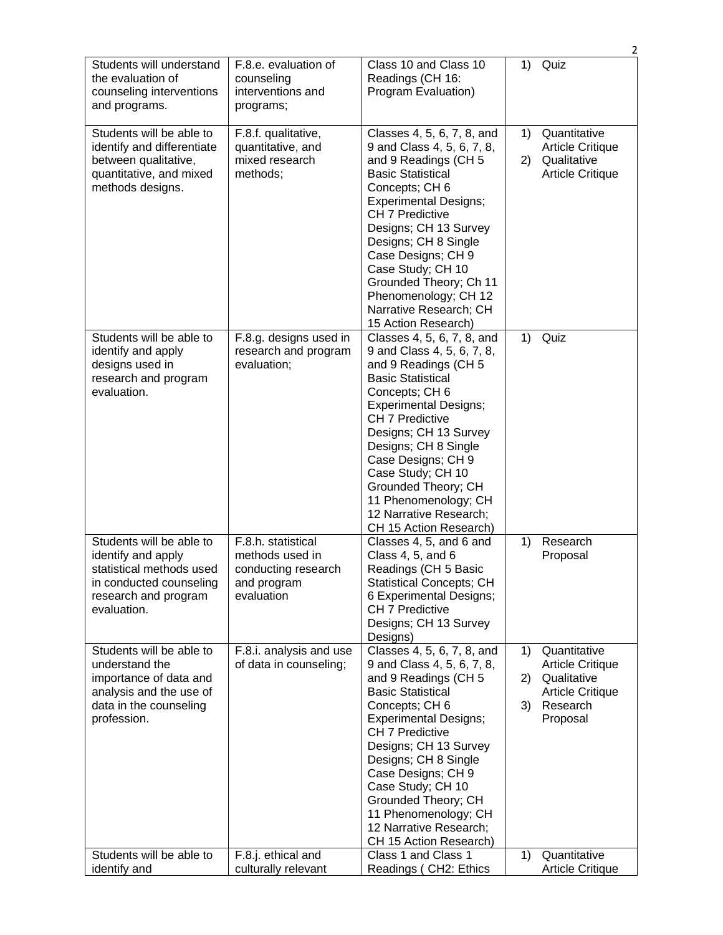|                                                                                                                                              |                                                                                           |                                                                                                                                                                                                                                                                                                                                                                                         | 2                                                                                                                           |
|----------------------------------------------------------------------------------------------------------------------------------------------|-------------------------------------------------------------------------------------------|-----------------------------------------------------------------------------------------------------------------------------------------------------------------------------------------------------------------------------------------------------------------------------------------------------------------------------------------------------------------------------------------|-----------------------------------------------------------------------------------------------------------------------------|
| Students will understand<br>the evaluation of<br>counseling interventions<br>and programs.                                                   | F.8.e. evaluation of<br>counseling<br>interventions and<br>programs;                      | Class 10 and Class 10<br>Readings (CH 16:<br>Program Evaluation)                                                                                                                                                                                                                                                                                                                        | 1)<br>Quiz                                                                                                                  |
| Students will be able to<br>identify and differentiate<br>between qualitative,<br>quantitative, and mixed<br>methods designs.                | F.8.f. qualitative,<br>quantitative, and<br>mixed research<br>methods;                    | Classes 4, 5, 6, 7, 8, and<br>9 and Class 4, 5, 6, 7, 8,<br>and 9 Readings (CH 5<br><b>Basic Statistical</b><br>Concepts; CH 6<br><b>Experimental Designs;</b><br><b>CH 7 Predictive</b><br>Designs; CH 13 Survey<br>Designs; CH 8 Single<br>Case Designs; CH 9<br>Case Study; CH 10<br>Grounded Theory; Ch 11<br>Phenomenology; CH 12<br>Narrative Research; CH<br>15 Action Research) | Quantitative<br>1)<br><b>Article Critique</b><br>Qualitative<br>2)<br><b>Article Critique</b>                               |
| Students will be able to<br>identify and apply<br>designs used in<br>research and program<br>evaluation.                                     | F.8.g. designs used in<br>research and program<br>evaluation;                             | Classes 4, 5, 6, 7, 8, and<br>9 and Class 4, 5, 6, 7, 8,<br>and 9 Readings (CH 5<br><b>Basic Statistical</b><br>Concepts; CH 6<br><b>Experimental Designs;</b><br><b>CH 7 Predictive</b><br>Designs; CH 13 Survey<br>Designs; CH 8 Single<br>Case Designs; CH 9<br>Case Study; CH 10<br>Grounded Theory; CH<br>11 Phenomenology; CH<br>12 Narrative Research;<br>CH 15 Action Research) | Quiz<br>1)                                                                                                                  |
| Students will be able to<br>identify and apply<br>statistical methods used<br>in conducted counseling<br>research and program<br>evaluation. | F.8.h. statistical<br>methods used in<br>conducting research<br>and program<br>evaluation | Classes 4, 5, and 6 and<br>Class 4, 5, and 6<br>Readings (CH 5 Basic<br><b>Statistical Concepts; CH</b><br>6 Experimental Designs;<br>CH 7 Predictive<br>Designs; CH 13 Survey<br>Designs)                                                                                                                                                                                              | Research<br>1)<br>Proposal                                                                                                  |
| Students will be able to<br>understand the<br>importance of data and<br>analysis and the use of<br>data in the counseling<br>profession.     | F.8.i. analysis and use<br>of data in counseling;                                         | Classes 4, 5, 6, 7, 8, and<br>9 and Class 4, 5, 6, 7, 8,<br>and 9 Readings (CH 5<br><b>Basic Statistical</b><br>Concepts; CH 6<br><b>Experimental Designs;</b><br>CH 7 Predictive<br>Designs; CH 13 Survey<br>Designs; CH 8 Single<br>Case Designs; CH 9<br>Case Study; CH 10<br>Grounded Theory; CH<br>11 Phenomenology; CH<br>12 Narrative Research;<br>CH 15 Action Research)        | Quantitative<br>1)<br><b>Article Critique</b><br>Qualitative<br>2)<br><b>Article Critique</b><br>Research<br>3)<br>Proposal |
| Students will be able to<br>identify and                                                                                                     | F.8.j. ethical and<br>culturally relevant                                                 | Class 1 and Class 1<br>Readings (CH2: Ethics                                                                                                                                                                                                                                                                                                                                            | Quantitative<br>1)<br><b>Article Critique</b>                                                                               |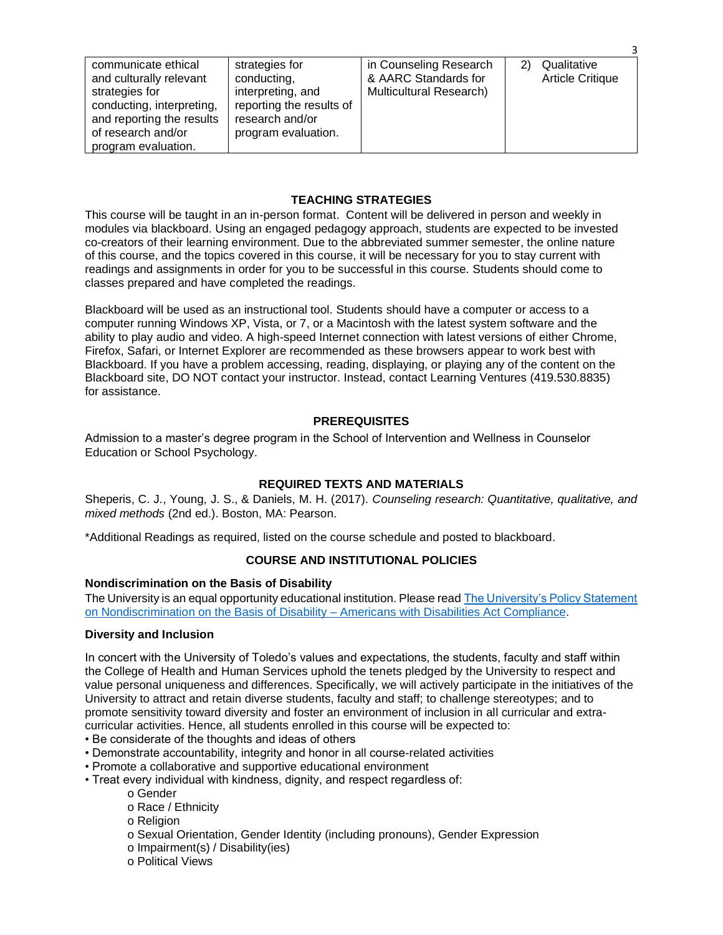| communicate ethical<br>strategies for<br>conducting,<br>and culturally relevant<br>interpreting, and<br>strategies for<br>reporting the results of<br>conducting, interpreting,<br>research and/or<br>and reporting the results<br>of research and/or<br>program evaluation.<br>program evaluation. | in Counseling Research<br>& AARC Standards for<br><b>Multicultural Research)</b> | Qualitative<br><b>Article Critique</b> |
|-----------------------------------------------------------------------------------------------------------------------------------------------------------------------------------------------------------------------------------------------------------------------------------------------------|----------------------------------------------------------------------------------|----------------------------------------|
|-----------------------------------------------------------------------------------------------------------------------------------------------------------------------------------------------------------------------------------------------------------------------------------------------------|----------------------------------------------------------------------------------|----------------------------------------|

3

# **TEACHING STRATEGIES**

This course will be taught in an in-person format. Content will be delivered in person and weekly in modules via blackboard. Using an engaged pedagogy approach, students are expected to be invested co-creators of their learning environment. Due to the abbreviated summer semester, the online nature of this course, and the topics covered in this course, it will be necessary for you to stay current with readings and assignments in order for you to be successful in this course. Students should come to classes prepared and have completed the readings.

Blackboard will be used as an instructional tool. Students should have a computer or access to a computer running Windows XP, Vista, or 7, or a Macintosh with the latest system software and the ability to play audio and video. A high-speed Internet connection with latest versions of either Chrome, Firefox, Safari, or Internet Explorer are recommended as these browsers appear to work best with Blackboard. If you have a problem accessing, reading, displaying, or playing any of the content on the Blackboard site, DO NOT contact your instructor. Instead, contact Learning Ventures (419.530.8835) for assistance.

# **PREREQUISITES**

Admission to a master's degree program in the School of Intervention and Wellness in Counselor Education or School Psychology.

# **REQUIRED TEXTS AND MATERIALS**

Sheperis, C. J., Young, J. S., & Daniels, M. H. (2017). *Counseling research: Quantitative, qualitative, and mixed methods* (2nd ed.). Boston, MA: Pearson.

\*Additional Readings as required, listed on the course schedule and posted to blackboard.

# **COURSE AND INSTITUTIONAL POLICIES**

# **Nondiscrimination on the Basis of Disability**

The University is an equal opportunity educational institution. Please read [The University's Policy Statement](https://www.utoledo.edu/policies/administration/diversity/pdfs/3364_50_03_Nondiscrimination_o.pdf)  [on Nondiscrimination on the Basis of Disability –](https://www.utoledo.edu/policies/administration/diversity/pdfs/3364_50_03_Nondiscrimination_o.pdf) Americans with Disabilities Act Compliance.

# **Diversity and Inclusion**

In concert with the University of Toledo's values and expectations, the students, faculty and staff within the College of Health and Human Services uphold the tenets pledged by the University to respect and value personal uniqueness and differences. Specifically, we will actively participate in the initiatives of the University to attract and retain diverse students, faculty and staff; to challenge stereotypes; and to promote sensitivity toward diversity and foster an environment of inclusion in all curricular and extracurricular activities. Hence, all students enrolled in this course will be expected to:

- Be considerate of the thoughts and ideas of others
- Demonstrate accountability, integrity and honor in all course-related activities
- Promote a collaborative and supportive educational environment
- Treat every individual with kindness, dignity, and respect regardless of:
	- o Gender
		- o Race / Ethnicity
		- o Religion
		- o Sexual Orientation, Gender Identity (including pronouns), Gender Expression
		- o Impairment(s) / Disability(ies)
		- o Political Views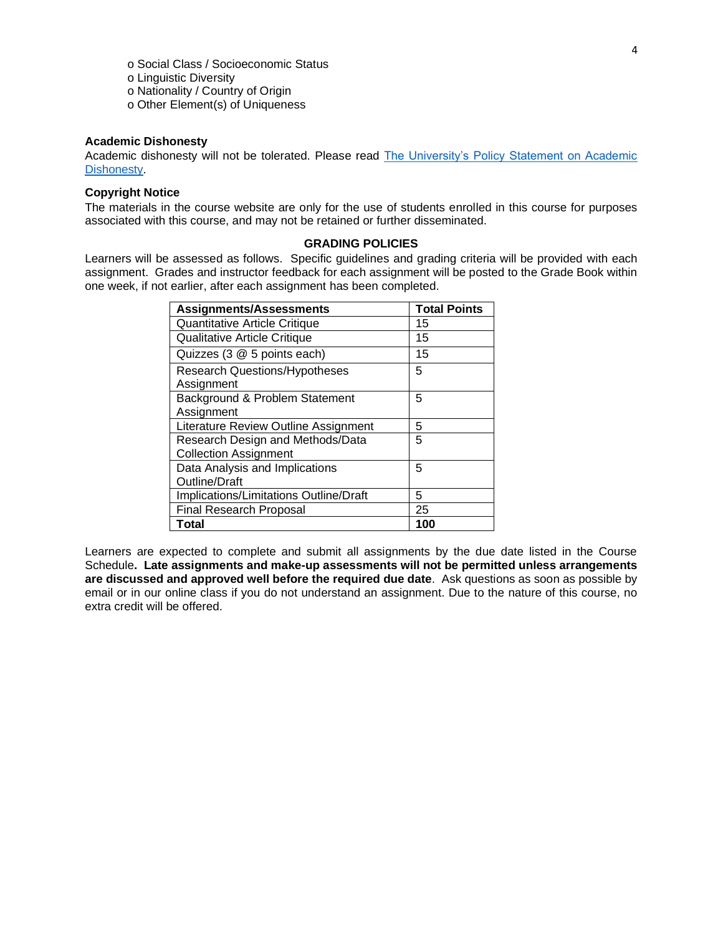o Social Class / Socioeconomic Status o Linguistic Diversity o Nationality / Country of Origin o Other Element(s) of Uniqueness

# **Academic Dishonesty**

Academic dishonesty will not be tolerated. Please read The University's Policy Statement on Academic [Dishonesty.](http://www.utoledo.edu/dl/students/dishonesty.html)

# **Copyright Notice**

The materials in the course website are only for the use of students enrolled in this course for purposes associated with this course, and may not be retained or further disseminated.

### **GRADING POLICIES**

Learners will be assessed as follows. Specific guidelines and grading criteria will be provided with each assignment. Grades and instructor feedback for each assignment will be posted to the Grade Book within one week, if not earlier, after each assignment has been completed.

| <b>Assignments/Assessments</b>         | <b>Total Points</b> |
|----------------------------------------|---------------------|
| Quantitative Article Critique          | 15                  |
| <b>Qualitative Article Critique</b>    | 15                  |
| Quizzes (3 @ 5 points each)            | 15                  |
| <b>Research Questions/Hypotheses</b>   | 5                   |
| Assignment                             |                     |
| Background & Problem Statement         | 5                   |
| Assignment                             |                     |
| Literature Review Outline Assignment   | 5                   |
| Research Design and Methods/Data       | 5                   |
| <b>Collection Assignment</b>           |                     |
| Data Analysis and Implications         | 5                   |
| <b>Outline/Draft</b>                   |                     |
| Implications/Limitations Outline/Draft | 5                   |
| Final Research Proposal                | 25                  |
| Total                                  | 100                 |

Learners are expected to complete and submit all assignments by the due date listed in the Course Schedule**. Late assignments and make-up assessments will not be permitted unless arrangements are discussed and approved well before the required due date**. Ask questions as soon as possible by email or in our online class if you do not understand an assignment. Due to the nature of this course, no extra credit will be offered.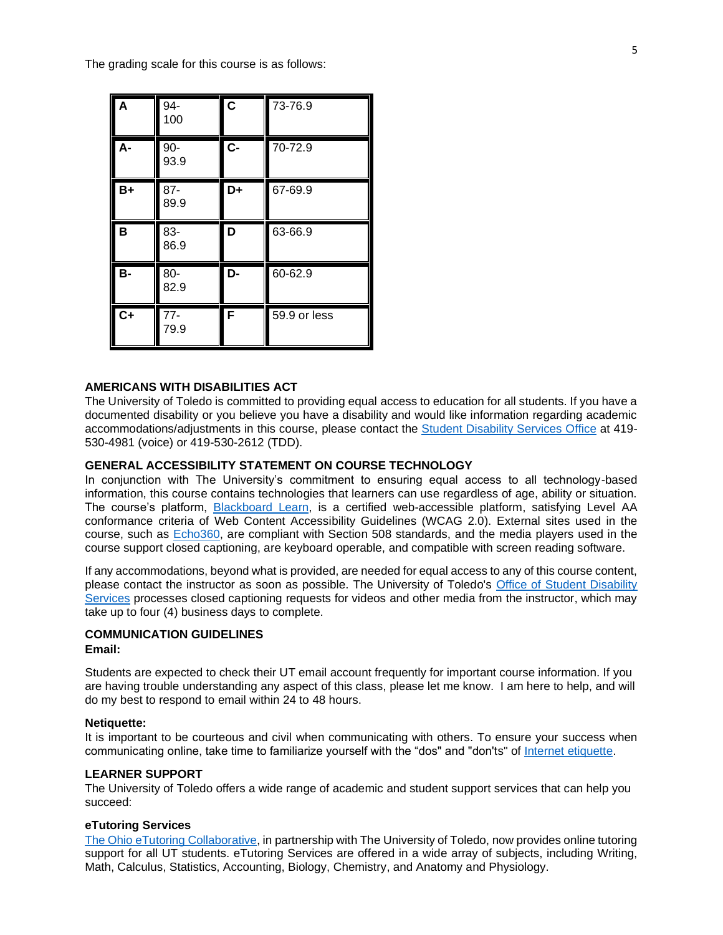The grading scale for this course is as follows:

| A         | 94-<br>100     | $\overline{\mathbf{c}}$ | 73-76.9 |
|-----------|----------------|-------------------------|---------|
| A-        | $90-$<br>93.9  | $\overline{C}$          | 70-72.9 |
| $B+$      | $87 -$<br>89.9 | D+                      | 67-69.9 |
| B         | 83-<br>86.9    | D                       | 63-66.9 |
| <b>B-</b> | 80-            | D-                      | 60-62.9 |
|           | 82.9           |                         |         |

### **AMERICANS WITH DISABILITIES ACT**

The University of Toledo is committed to providing equal access to education for all students. If you have a documented disability or you believe you have a disability and would like information regarding academic accommodations/adjustments in this course, please contact the **Student Disability Services Office** at 419-530-4981 (voice) or 419-530-2612 (TDD).

# **GENERAL ACCESSIBILITY STATEMENT ON COURSE TECHNOLOGY**

In conjunction with The University's commitment to ensuring equal access to all technology-based information, this course contains technologies that learners can use regardless of age, ability or situation. The course's platform, [Blackboard Learn,](http://www.blackboard.com/Platforms/Learn/Resources/Accessibility.aspx) is a certified web-accessible platform, satisfying Level AA conformance criteria of Web Content Accessibility Guidelines (WCAG 2.0). External sites used in the course, such as [Echo360,](http://echo360.com/press-release/echo360-earns-vpat-federal-government-section-508-accessibility-standard-credentialing) are compliant with Section 508 standards, and the media players used in the course support closed captioning, are keyboard operable, and compatible with screen reading software.

If any accommodations, beyond what is provided, are needed for equal access to any of this course content, please contact the instructor as soon as possible. The University of Toledo's Office of Student Disability [Services](http://www.utoledo.edu/offices/student-disability-services/) processes closed captioning requests for videos and other media from the instructor, which may take up to four (4) business days to complete.

### **COMMUNICATION GUIDELINES Email:**

Students are expected to check their UT email account frequently for important course information. If you are having trouble understanding any aspect of this class, please let me know. I am here to help, and will do my best to respond to email within 24 to 48 hours.

#### **Netiquette:**

It is important to be courteous and civil when communicating with others. To ensure your success when communicating online, take time to familiarize yourself with the "dos" and "don'ts" of [Internet etiquette.](https://www.utoledo.edu/dl/students/netiquette.html)

# **LEARNER SUPPORT**

The University of Toledo offers a wide range of academic and student support services that can help you succeed:

### **eTutoring Services**

[The Ohio eTutoring Collaborative,](https://www.etutoring.org/login.cfm?institutionid=232&returnPage) in partnership with The University of Toledo, now provides online tutoring support for all UT students. eTutoring Services are offered in a wide array of subjects, including Writing, Math, Calculus, Statistics, Accounting, Biology, Chemistry, and Anatomy and Physiology.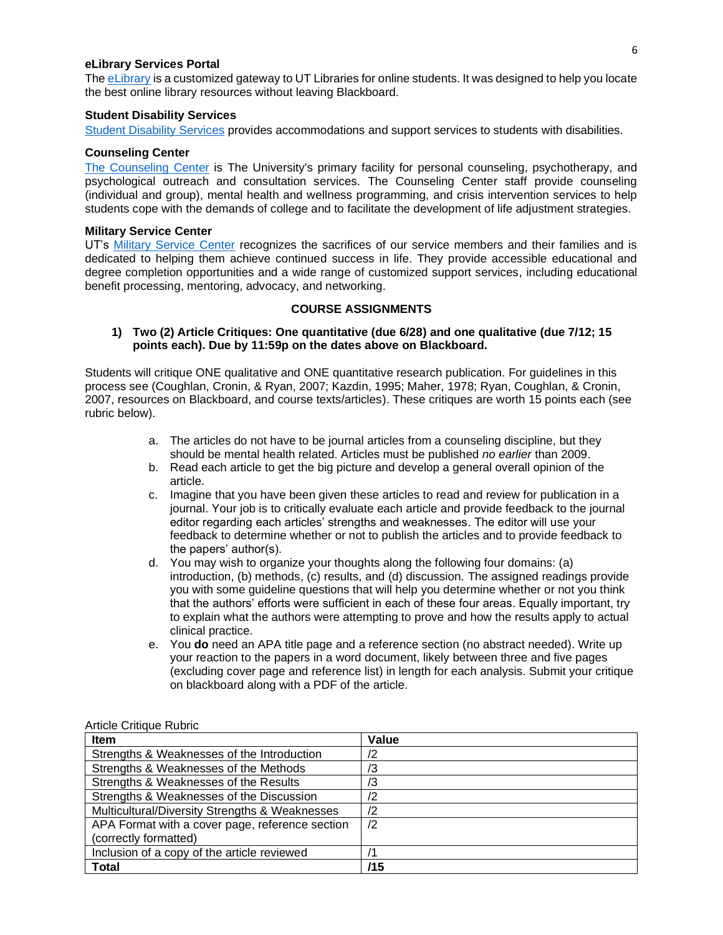# **eLibrary Services Portal**

Th[e eLibrary](http://www.utoledo.edu/dl/students/elibrary.html) is a customized gateway to UT Libraries for online students. It was designed to help you locate the best online library resources without leaving Blackboard.

### **Student Disability Services**

[Student Disability Services](http://www.utoledo.edu/offices/student-disability-services/index.html) provides accommodations and support services to students with disabilities.

### **Counseling Center**

[The Counseling Center](http://www.utoledo.edu/studentaffairs/counseling/) is The University's primary facility for personal counseling, psychotherapy, and psychological outreach and consultation services. The Counseling Center staff provide counseling (individual and group), mental health and wellness programming, and crisis intervention services to help students cope with the demands of college and to facilitate the development of life adjustment strategies.

#### **Military Service Center**

UT's [Military Service Center](https://www.utoledo.edu/call/military/index.html) recognizes the sacrifices of our service members and their families and is dedicated to helping them achieve continued success in life. They provide accessible educational and degree completion opportunities and a wide range of customized support services, including educational benefit processing, mentoring, advocacy, and networking.

# **COURSE ASSIGNMENTS**

# **1) Two (2) Article Critiques: One quantitative (due 6/28) and one qualitative (due 7/12; 15 points each). Due by 11:59p on the dates above on Blackboard.**

Students will critique ONE qualitative and ONE quantitative research publication. For guidelines in this process see (Coughlan, Cronin, & Ryan, 2007; Kazdin, 1995; Maher, 1978; Ryan, Coughlan, & Cronin, 2007, resources on Blackboard, and course texts/articles). These critiques are worth 15 points each (see rubric below).

- a. The articles do not have to be journal articles from a counseling discipline, but they should be mental health related. Articles must be published *no earlier* than 2009.
- b. Read each article to get the big picture and develop a general overall opinion of the article.
- c. Imagine that you have been given these articles to read and review for publication in a journal. Your job is to critically evaluate each article and provide feedback to the journal editor regarding each articles' strengths and weaknesses. The editor will use your feedback to determine whether or not to publish the articles and to provide feedback to the papers' author(s).
- d. You may wish to organize your thoughts along the following four domains: (a) introduction, (b) methods, (c) results, and (d) discussion. The assigned readings provide you with some guideline questions that will help you determine whether or not you think that the authors' efforts were sufficient in each of these four areas. Equally important, try to explain what the authors were attempting to prove and how the results apply to actual clinical practice.
- e. You **do** need an APA title page and a reference section (no abstract needed). Write up your reaction to the papers in a word document, likely between three and five pages (excluding cover page and reference list) in length for each analysis. Submit your critique on blackboard along with a PDF of the article.

| <b>Item</b>                                     | Value      |
|-------------------------------------------------|------------|
| Strengths & Weaknesses of the Introduction      | /2         |
| Strengths & Weaknesses of the Methods           | ΙЗ         |
| Strengths & Weaknesses of the Results           | ′3         |
| Strengths & Weaknesses of the Discussion        | /2         |
| Multicultural/Diversity Strengths & Weaknesses  | $\sqrt{2}$ |
| APA Format with a cover page, reference section | /2         |
| (correctly formatted)                           |            |
| Inclusion of a copy of the article reviewed     |            |
| <b>Total</b>                                    | /15        |

#### Article Critique Rubric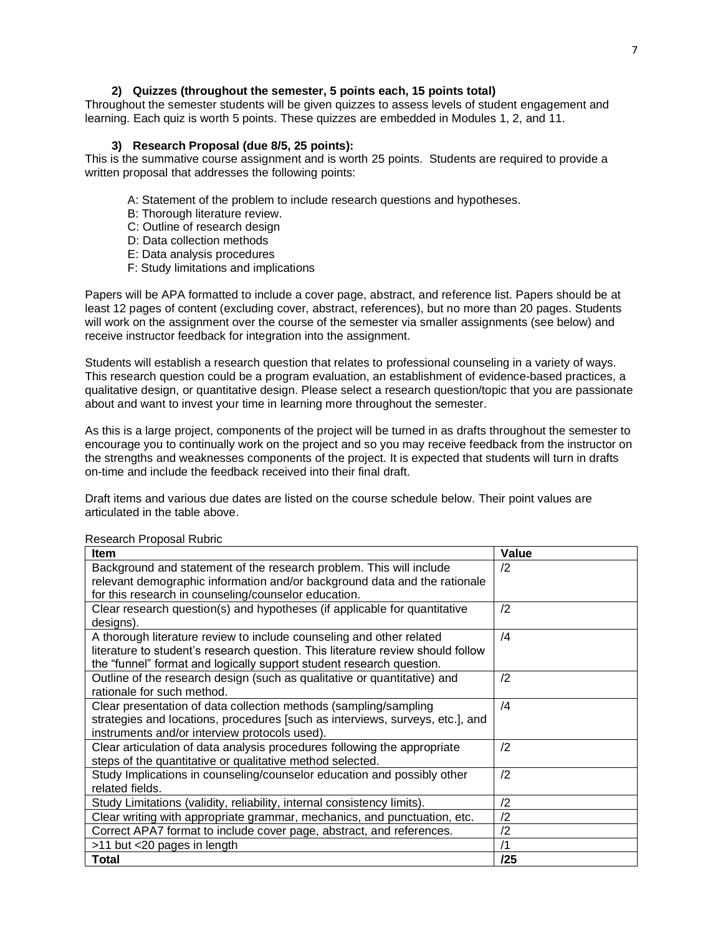# **2) Quizzes (throughout the semester, 5 points each, 15 points total)**

Throughout the semester students will be given quizzes to assess levels of student engagement and learning. Each quiz is worth 5 points. These quizzes are embedded in Modules 1, 2, and 11.

# **3) Research Proposal (due 8/5, 25 points):**

This is the summative course assignment and is worth 25 points. Students are required to provide a written proposal that addresses the following points:

A: Statement of the problem to include research questions and hypotheses.

- B: Thorough literature review.
- C: Outline of research design
- D: Data collection methods
- E: Data analysis procedures
- F: Study limitations and implications

Papers will be APA formatted to include a cover page, abstract, and reference list. Papers should be at least 12 pages of content (excluding cover, abstract, references), but no more than 20 pages. Students will work on the assignment over the course of the semester via smaller assignments (see below) and receive instructor feedback for integration into the assignment.

Students will establish a research question that relates to professional counseling in a variety of ways. This research question could be a program evaluation, an establishment of evidence-based practices, a qualitative design, or quantitative design. Please select a research question/topic that you are passionate about and want to invest your time in learning more throughout the semester.

As this is a large project, components of the project will be turned in as drafts throughout the semester to encourage you to continually work on the project and so you may receive feedback from the instructor on the strengths and weaknesses components of the project. It is expected that students will turn in drafts on-time and include the feedback received into their final draft.

Draft items and various due dates are listed on the course schedule below. Their point values are articulated in the table above.

| Item                                                                            | Value      |
|---------------------------------------------------------------------------------|------------|
| Background and statement of the research problem. This will include             | $\sqrt{2}$ |
| relevant demographic information and/or background data and the rationale       |            |
| for this research in counseling/counselor education.                            |            |
| Clear research question(s) and hypotheses (if applicable for quantitative       | /2         |
| designs).                                                                       |            |
| A thorough literature review to include counseling and other related            | /4         |
| literature to student's research question. This literature review should follow |            |
| the "funnel" format and logically support student research question.            |            |
| Outline of the research design (such as qualitative or quantitative) and        | /2         |
| rationale for such method.                                                      |            |
| Clear presentation of data collection methods (sampling/sampling                | $\sqrt{4}$ |
| strategies and locations, procedures [such as interviews, surveys, etc.], and   |            |
| instruments and/or interview protocols used).                                   |            |
| Clear articulation of data analysis procedures following the appropriate        | /2         |
| steps of the quantitative or qualitative method selected.                       |            |
| Study Implications in counseling/counselor education and possibly other         | /2         |
| related fields.                                                                 |            |
| Study Limitations (validity, reliability, internal consistency limits).         | /2         |
| Clear writing with appropriate grammar, mechanics, and punctuation, etc.        | /2         |
| Correct APA7 format to include cover page, abstract, and references.            | /2         |
| >11 but <20 pages in length                                                     | /1         |
| Total                                                                           | /25        |

### Research Proposal Rubric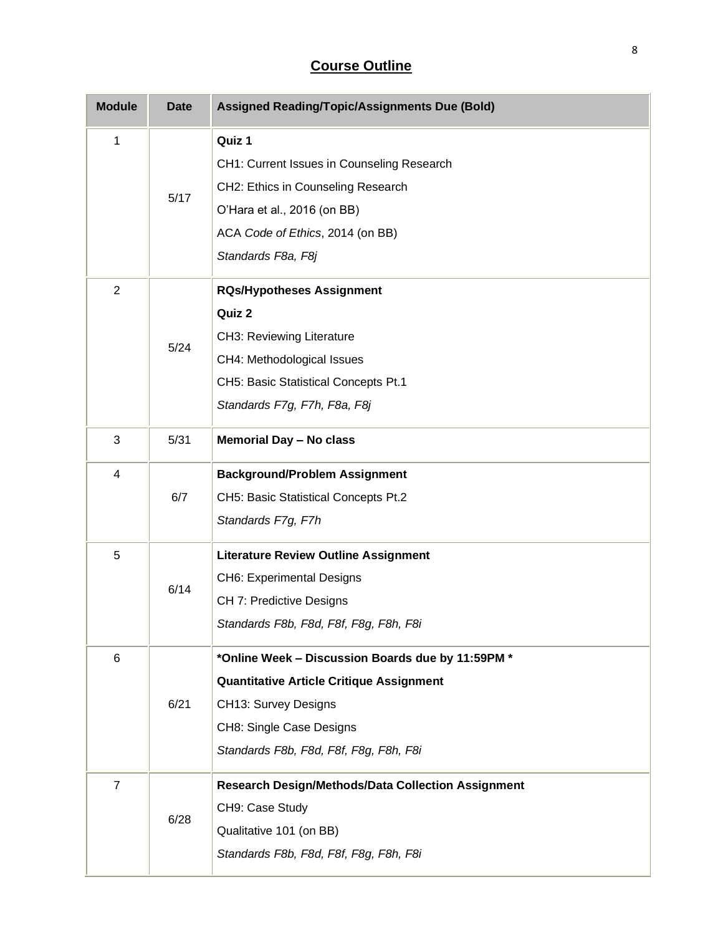# **Course Outline**

| <b>Module</b>  | <b>Date</b> | <b>Assigned Reading/Topic/Assignments Due (Bold)</b>                                                                                                                                               |
|----------------|-------------|----------------------------------------------------------------------------------------------------------------------------------------------------------------------------------------------------|
| 1              | 5/17        | Quiz 1<br>CH1: Current Issues in Counseling Research<br>CH2: Ethics in Counseling Research<br>O'Hara et al., 2016 (on BB)<br>ACA Code of Ethics, 2014 (on BB)<br>Standards F8a, F8j                |
| $\overline{2}$ | 5/24        | <b>RQs/Hypotheses Assignment</b><br>Quiz 2<br>CH3: Reviewing Literature<br>CH4: Methodological Issues<br>CH5: Basic Statistical Concepts Pt.1<br>Standards F7g, F7h, F8a, F8j                      |
| 3              | 5/31        | <b>Memorial Day - No class</b>                                                                                                                                                                     |
| 4              | 6/7         | <b>Background/Problem Assignment</b><br>CH5: Basic Statistical Concepts Pt.2<br>Standards F7g, F7h                                                                                                 |
| 5              | 6/14        | <b>Literature Review Outline Assignment</b><br><b>CH6: Experimental Designs</b><br>CH 7: Predictive Designs<br>Standards F8b, F8d, F8f, F8g, F8h, F8i                                              |
| 6              | 6/21        | *Online Week - Discussion Boards due by 11:59PM *<br><b>Quantitative Article Critique Assignment</b><br>CH13: Survey Designs<br>CH8: Single Case Designs<br>Standards F8b, F8d, F8f, F8g, F8h, F8i |
| $\overline{7}$ | 6/28        | <b>Research Design/Methods/Data Collection Assignment</b><br>CH9: Case Study<br>Qualitative 101 (on BB)<br>Standards F8b, F8d, F8f, F8g, F8h, F8i                                                  |